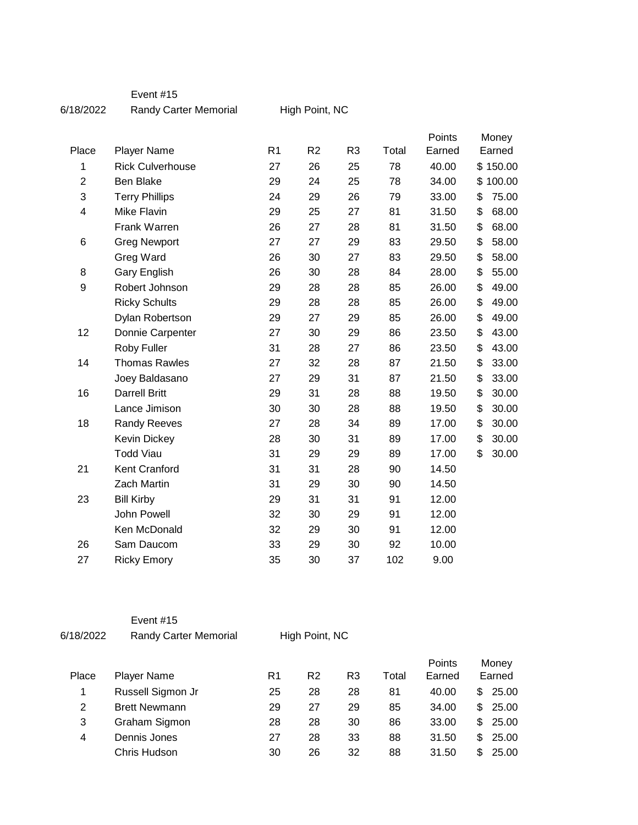## Event #15

6/18/2022 Randy Carter Memorial

High Point, NC

| Place          | <b>Player Name</b>      | R <sub>1</sub> | R <sub>2</sub> | R <sub>3</sub> | Total | Points<br>Earned | Money<br>Earned |       |
|----------------|-------------------------|----------------|----------------|----------------|-------|------------------|-----------------|-------|
| 1              | <b>Rick Culverhouse</b> | 27             | 26             | 25             | 78    | 40.00            | \$150.00        |       |
| $\overline{2}$ | <b>Ben Blake</b>        | 29             | 24             | 25             | 78    | 34.00            | \$100.00        |       |
| 3              | <b>Terry Phillips</b>   | 24             | 29             | 26             | 79    | 33.00            | \$              | 75.00 |
| 4              | <b>Mike Flavin</b>      | 29             | 25             | 27             | 81    | 31.50            | \$              | 68.00 |
|                | Frank Warren            | 26             | 27             | 28             | 81    | 31.50            | \$              | 68.00 |
| 6              | <b>Greg Newport</b>     | 27             | 27             | 29             | 83    | 29.50            | \$              | 58.00 |
|                | Greg Ward               | 26             | 30             | 27             | 83    | 29.50            | \$              | 58.00 |
| 8              | <b>Gary English</b>     | 26             | 30             | 28             | 84    | 28.00            | \$              | 55.00 |
| 9              | Robert Johnson          | 29             | 28             | 28             | 85    | 26.00            | \$              | 49.00 |
|                | <b>Ricky Schults</b>    | 29             | 28             | 28             | 85    | 26.00            | \$              | 49.00 |
|                |                         |                | 27             |                | 85    | 26.00            | \$              | 49.00 |
|                | Dylan Robertson         | 29             |                | 29             |       |                  |                 |       |
| 12             | Donnie Carpenter        | 27             | 30             | 29             | 86    | 23.50            | \$              | 43.00 |
|                | Roby Fuller             | 31             | 28             | 27             | 86    | 23.50            | \$              | 43.00 |
| 14             | <b>Thomas Rawles</b>    | 27             | 32             | 28             | 87    | 21.50            | \$              | 33.00 |
|                | Joey Baldasano          | 27             | 29             | 31             | 87    | 21.50            | \$              | 33.00 |
| 16             | <b>Darrell Britt</b>    | 29             | 31             | 28             | 88    | 19.50            | \$              | 30.00 |
|                | Lance Jimison           | 30             | 30             | 28             | 88    | 19.50            | \$              | 30.00 |
| 18             | <b>Randy Reeves</b>     | 27             | 28             | 34             | 89    | 17.00            | \$              | 30.00 |
|                | <b>Kevin Dickey</b>     | 28             | 30             | 31             | 89    | 17.00            | \$              | 30.00 |
|                | <b>Todd Viau</b>        | 31             | 29             | 29             | 89    | 17.00            | \$              | 30.00 |
| 21             | Kent Cranford           | 31             | 31             | 28             | 90    | 14.50            |                 |       |
|                | Zach Martin             | 31             | 29             | 30             | 90    | 14.50            |                 |       |
| 23             | <b>Bill Kirby</b>       | 29             | 31             | 31             | 91    | 12.00            |                 |       |
|                | John Powell             | 32             | 30             | 29             | 91    | 12.00            |                 |       |
|                | Ken McDonald            | 32             | 29             | 30             | 91    | 12.00            |                 |       |
| 26             | Sam Daucom              | 33             | 29             | 30             | 92    | 10.00            |                 |       |
| 27             | <b>Ricky Emory</b>      | 35             | 30             | 37             | 102   | 9.00             |                 |       |

## Event #15

6/18/2022 Randy Carter Memorial

High Point, NC

| Place | <b>Player Name</b>   | R1 | R <sub>2</sub> | R3 | Total | Points<br>Earned |     | Money<br>Earned |
|-------|----------------------|----|----------------|----|-------|------------------|-----|-----------------|
|       | Russell Sigmon Jr    | 25 | 28             | 28 | 81    | 40.00            | \$. | 25.00           |
| 2     | <b>Brett Newmann</b> | 29 | 27             | 29 | 85    | 34.00            | \$  | 25.00           |
| 3     | Graham Sigmon        | 28 | 28             | 30 | 86    | 33.00            | \$  | 25.00           |
| 4     | Dennis Jones         | 27 | 28             | 33 | 88    | 31.50            | \$  | 25.00           |
|       | Chris Hudson         | 30 | 26             | 32 | 88    | 31.50            | \$  | 25.00           |